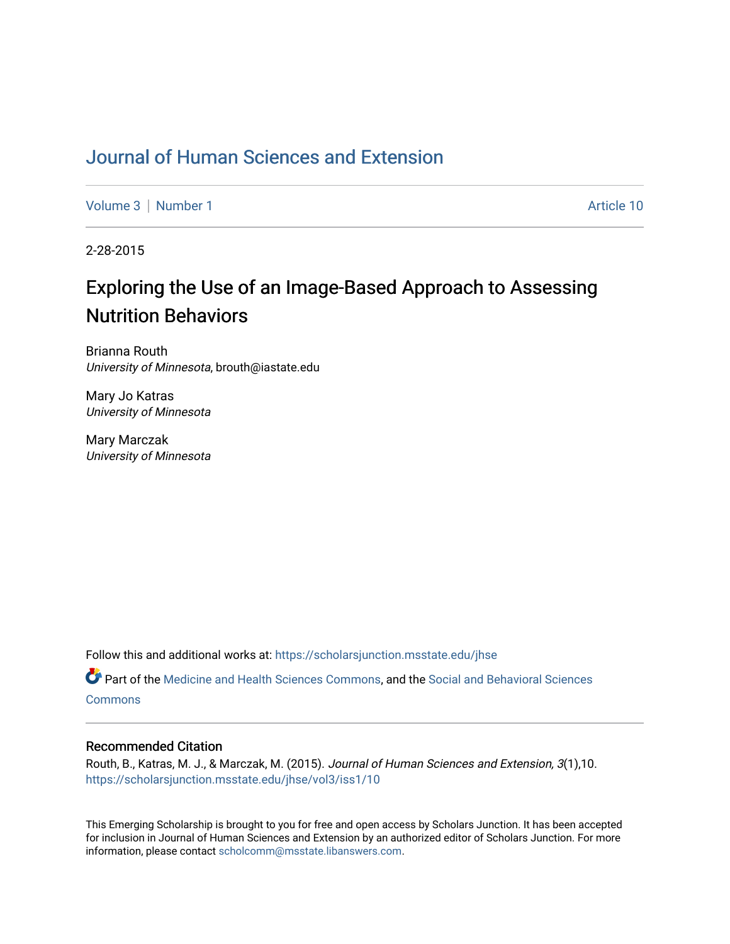# [Journal of Human Sciences and Extension](https://scholarsjunction.msstate.edu/jhse)

[Volume 3](https://scholarsjunction.msstate.edu/jhse/vol3) | [Number 1](https://scholarsjunction.msstate.edu/jhse/vol3/iss1) Article 10

2-28-2015

# Exploring the Use of an Image-Based Approach to Assessing Nutrition Behaviors

Brianna Routh University of Minnesota, brouth@iastate.edu

Mary Jo Katras University of Minnesota

Mary Marczak University of Minnesota

Follow this and additional works at: [https://scholarsjunction.msstate.edu/jhse](https://scholarsjunction.msstate.edu/jhse?utm_source=scholarsjunction.msstate.edu%2Fjhse%2Fvol3%2Fiss1%2F10&utm_medium=PDF&utm_campaign=PDFCoverPages)

Part of the [Medicine and Health Sciences Commons,](http://network.bepress.com/hgg/discipline/648?utm_source=scholarsjunction.msstate.edu%2Fjhse%2Fvol3%2Fiss1%2F10&utm_medium=PDF&utm_campaign=PDFCoverPages) and the [Social and Behavioral Sciences](http://network.bepress.com/hgg/discipline/316?utm_source=scholarsjunction.msstate.edu%2Fjhse%2Fvol3%2Fiss1%2F10&utm_medium=PDF&utm_campaign=PDFCoverPages) **[Commons](http://network.bepress.com/hgg/discipline/316?utm_source=scholarsjunction.msstate.edu%2Fjhse%2Fvol3%2Fiss1%2F10&utm_medium=PDF&utm_campaign=PDFCoverPages)** 

#### Recommended Citation

Routh, B., Katras, M. J., & Marczak, M. (2015). Journal of Human Sciences and Extension, 3(1),10. [https://scholarsjunction.msstate.edu/jhse/vol3/iss1/10](https://scholarsjunction.msstate.edu/jhse/vol3/iss1/10?utm_source=scholarsjunction.msstate.edu%2Fjhse%2Fvol3%2Fiss1%2F10&utm_medium=PDF&utm_campaign=PDFCoverPages) 

This Emerging Scholarship is brought to you for free and open access by Scholars Junction. It has been accepted for inclusion in Journal of Human Sciences and Extension by an authorized editor of Scholars Junction. For more information, please contact [scholcomm@msstate.libanswers.com](mailto:scholcomm@msstate.libanswers.com).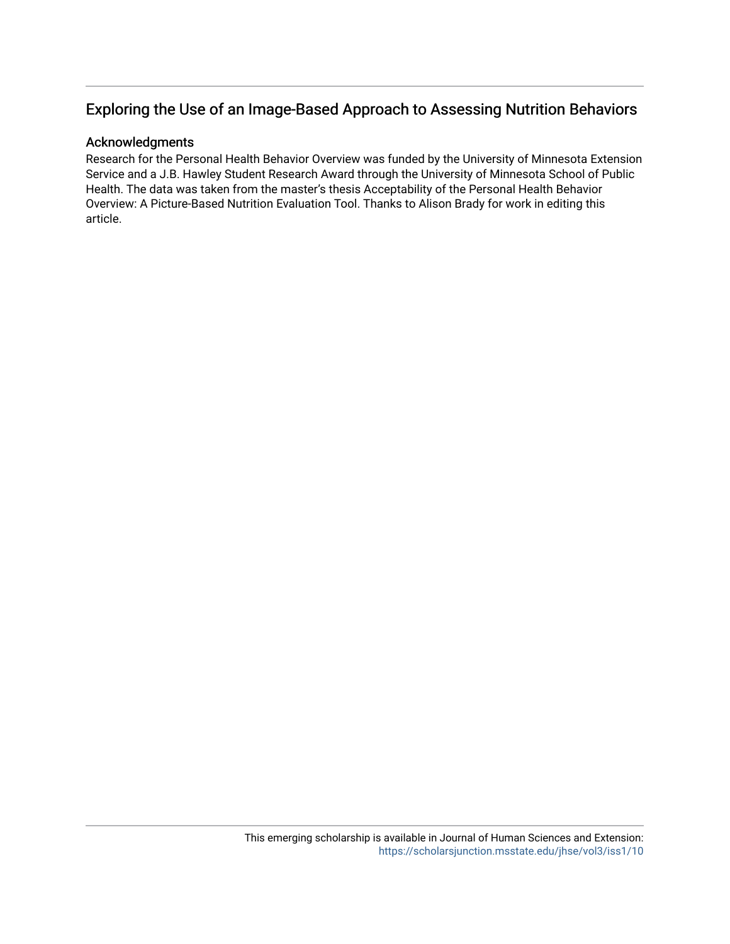#### Acknowledgments

Research for the Personal Health Behavior Overview was funded by the University of Minnesota Extension Service and a J.B. Hawley Student Research Award through the University of Minnesota School of Public Health. The data was taken from the master's thesis Acceptability of the Personal Health Behavior Overview: A Picture-Based Nutrition Evaluation Tool. Thanks to Alison Brady for work in editing this article.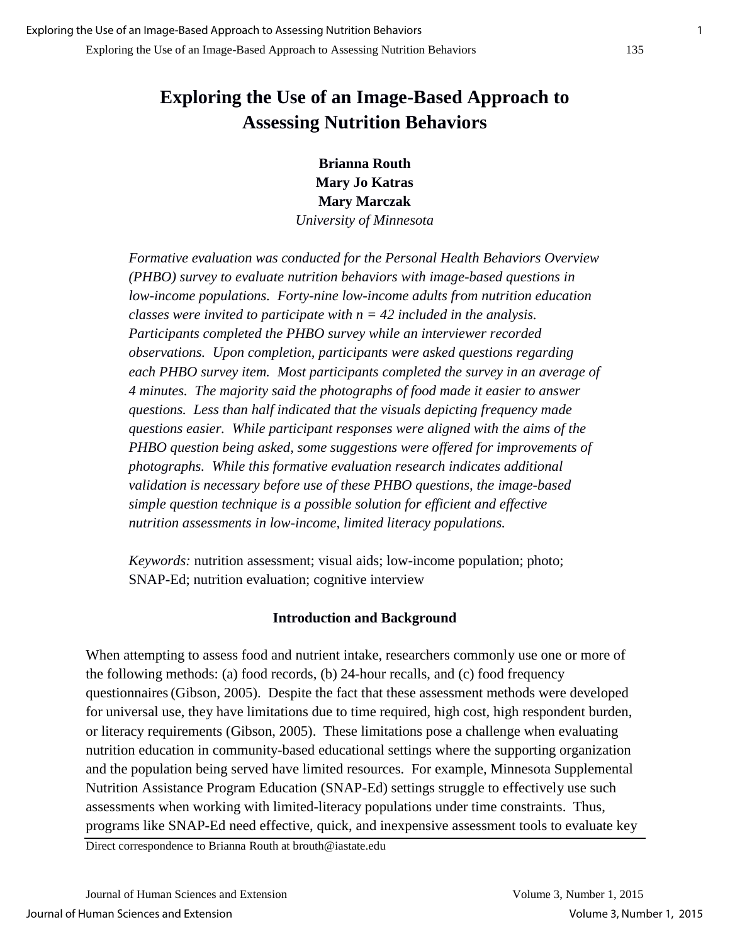**Brianna Routh Mary Jo Katras Mary Marczak** 

*University of Minnesota* 

*Formative evaluation was conducted for the Personal Health Behaviors Overview (PHBO) survey to evaluate nutrition behaviors with image-based questions in low-income populations. Forty-nine low-income adults from nutrition education classes were invited to participate with n = 42 included in the analysis. Participants completed the PHBO survey while an interviewer recorded observations. Upon completion, participants were asked questions regarding each PHBO survey item. Most participants completed the survey in an average of 4 minutes. The majority said the photographs of food made it easier to answer questions. Less than half indicated that the visuals depicting frequency made questions easier. While participant responses were aligned with the aims of the PHBO question being asked, some suggestions were offered for improvements of photographs. While this formative evaluation research indicates additional validation is necessary before use of these PHBO questions, the image-based simple question technique is a possible solution for efficient and effective nutrition assessments in low-income, limited literacy populations.* 

*Keywords:* nutrition assessment; visual aids; low-income population; photo; SNAP-Ed; nutrition evaluation; cognitive interview

### **Introduction and Background**

When attempting to assess food and nutrient intake, researchers commonly use one or more of the following methods: (a) food records, (b) 24-hour recalls, and (c) food frequency questionnaires(Gibson, 2005). Despite the fact that these assessment methods were developed for universal use, they have limitations due to time required, high cost, high respondent burden, or literacy requirements (Gibson, 2005). These limitations pose a challenge when evaluating nutrition education in community-based educational settings where the supporting organization and the population being served have limited resources. For example, Minnesota Supplemental Nutrition Assistance Program Education (SNAP-Ed) settings struggle to effectively use such assessments when working with limited-literacy populations under time constraints. Thus, programs like SNAP-Ed need effective, quick, and inexpensive assessment tools to evaluate key

Direct correspondence to Brianna Routh at brouth@iastate.edu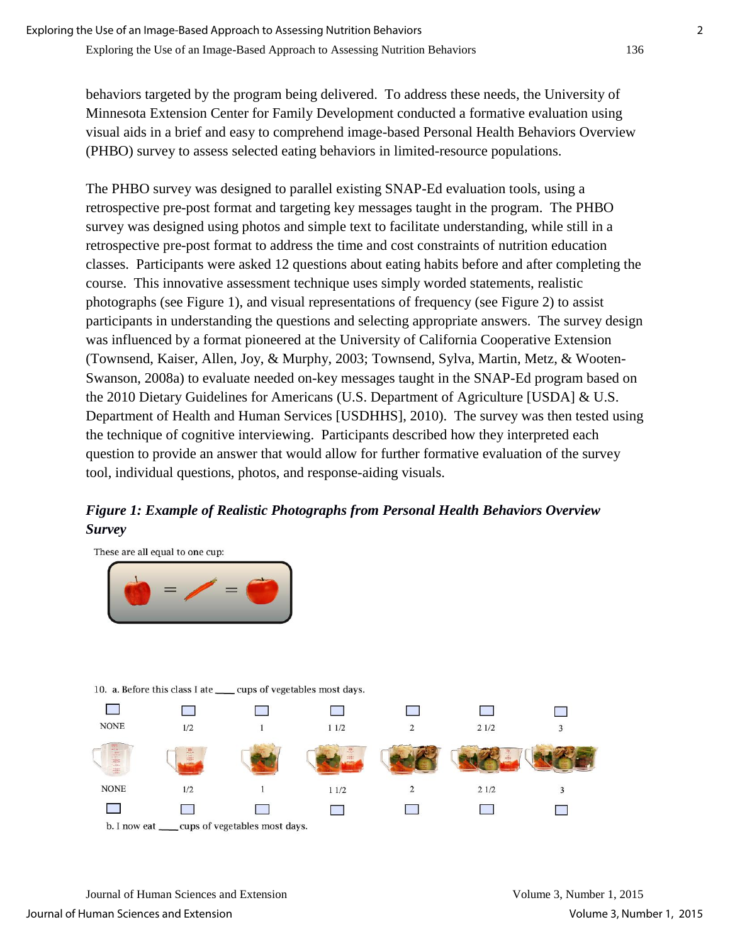behaviors targeted by the program being delivered. To address these needs, the University of Minnesota Extension Center for Family Development conducted a formative evaluation using visual aids in a brief and easy to comprehend image-based Personal Health Behaviors Overview (PHBO) survey to assess selected eating behaviors in limited-resource populations.

The PHBO survey was designed to parallel existing SNAP-Ed evaluation tools, using a retrospective pre-post format and targeting key messages taught in the program. The PHBO survey was designed using photos and simple text to facilitate understanding, while still in a retrospective pre-post format to address the time and cost constraints of nutrition education classes. Participants were asked 12 questions about eating habits before and after completing the course. This innovative assessment technique uses simply worded statements, realistic photographs (see Figure 1), and visual representations of frequency (see Figure 2) to assist participants in understanding the questions and selecting appropriate answers. The survey design was influenced by a format pioneered at the University of California Cooperative Extension (Townsend, Kaiser, Allen, Joy, & Murphy, 2003; Townsend, Sylva, Martin, Metz, & Wooten-Swanson, 2008a) to evaluate needed on-key messages taught in the SNAP-Ed program based on the 2010 Dietary Guidelines for Americans (U.S. Department of Agriculture [USDA] & U.S. Department of Health and Human Services [USDHHS], 2010). The survey was then tested using the technique of cognitive interviewing. Participants described how they interpreted each question to provide an answer that would allow for further formative evaluation of the survey tool, individual questions, photos, and response-aiding visuals.

## *Figure 1: Example of Realistic Photographs from Personal Health Behaviors Overview Survey*



Journal of Human Sciences and Extension Volume 3, Number 1, 2015 Journal of Human Sciences and Extension Volume 3, Number 1, 2015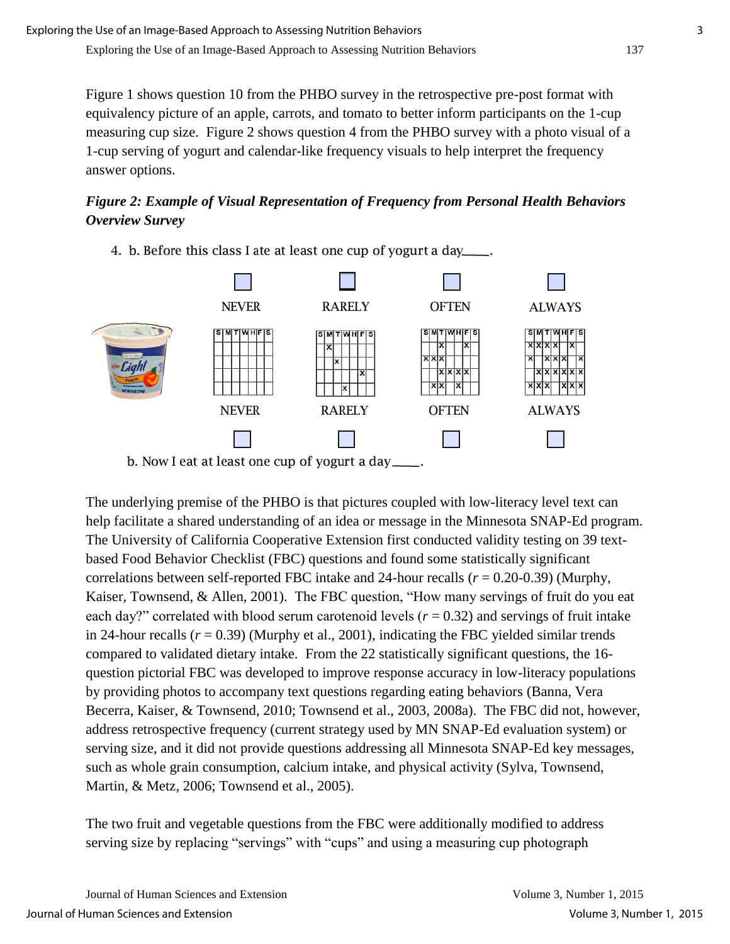Figure 1 shows question 10 from the PHBO survey in the retrospective pre-post format with equivalency picture of an apple, carrots, and tomato to better inform participants on the 1-cup measuring cup size. Figure 2 shows question 4 from the PHBO survey with a photo visual of a 1-cup serving of yogurt and calendar-like frequency visuals to help interpret the frequency answer options.

## *Figure 2: Example of Visual Representation of Frequency from Personal Health Behaviors Overview Survey*

4. b. Before this class I ate at least one cup of yogurt a day



The underlying premise of the PHBO is that pictures coupled with low-literacy level text can help facilitate a shared understanding of an idea or message in the Minnesota SNAP-Ed program. The University of California Cooperative Extension first conducted validity testing on 39 textbased Food Behavior Checklist (FBC) questions and found some statistically significant correlations between self-reported FBC intake and 24-hour recalls (*r* = 0.20-0.39) (Murphy, Kaiser, Townsend, & Allen, 2001). The FBC question, "How many servings of fruit do you eat each day?" correlated with blood serum carotenoid levels ( $r = 0.32$ ) and servings of fruit intake in 24-hour recalls  $(r = 0.39)$  (Murphy et al., 2001), indicating the FBC yielded similar trends compared to validated dietary intake. From the 22 statistically significant questions, the 16 question pictorial FBC was developed to improve response accuracy in low-literacy populations by providing photos to accompany text questions regarding eating behaviors (Banna, Vera Becerra, Kaiser, & Townsend, 2010; Townsend et al., 2003, 2008a). The FBC did not, however, address retrospective frequency (current strategy used by MN SNAP-Ed evaluation system) or serving size, and it did not provide questions addressing all Minnesota SNAP-Ed key messages, such as whole grain consumption, calcium intake, and physical activity (Sylva, Townsend, Martin, & Metz, 2006; Townsend et al., 2005).

The two fruit and vegetable questions from the FBC were additionally modified to address serving size by replacing "servings" with "cups" and using a measuring cup photograph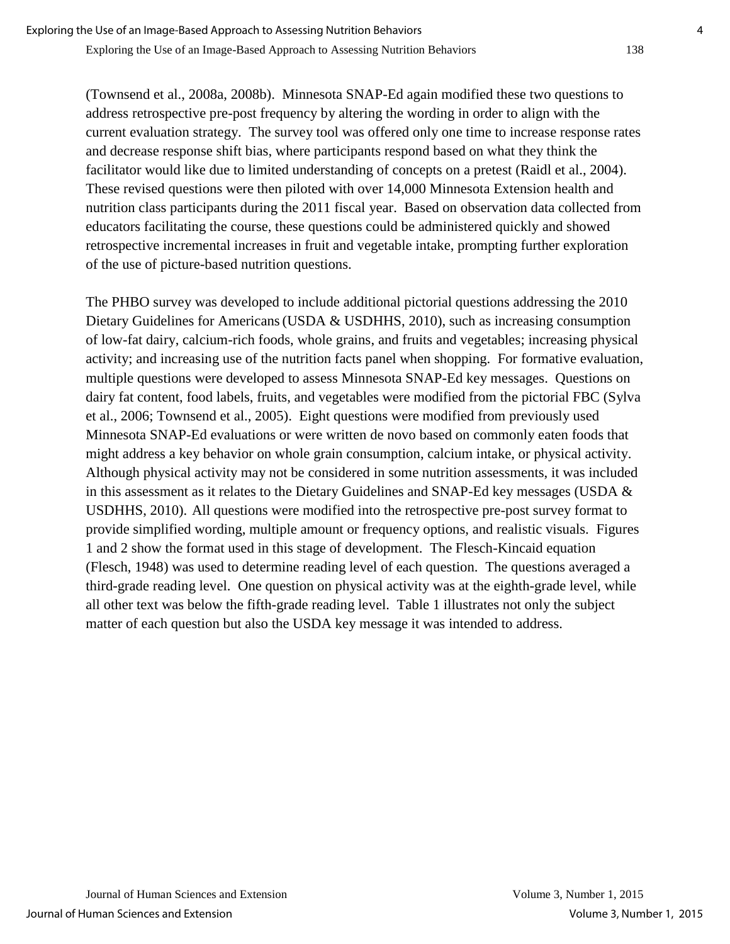(Townsend et al., 2008a, 2008b). Minnesota SNAP-Ed again modified these two questions to address retrospective pre-post frequency by altering the wording in order to align with the current evaluation strategy. The survey tool was offered only one time to increase response rates and decrease response shift bias, where participants respond based on what they think the facilitator would like due to limited understanding of concepts on a pretest (Raidl et al., 2004). These revised questions were then piloted with over 14,000 Minnesota Extension health and nutrition class participants during the 2011 fiscal year. Based on observation data collected from educators facilitating the course, these questions could be administered quickly and showed retrospective incremental increases in fruit and vegetable intake, prompting further exploration of the use of picture-based nutrition questions.

The PHBO survey was developed to include additional pictorial questions addressing the 2010 Dietary Guidelines for Americans (USDA & USDHHS, 2010), such as increasing consumption of low-fat dairy, calcium-rich foods, whole grains, and fruits and vegetables; increasing physical activity; and increasing use of the nutrition facts panel when shopping. For formative evaluation, multiple questions were developed to assess Minnesota SNAP-Ed key messages. Questions on dairy fat content, food labels, fruits, and vegetables were modified from the pictorial FBC (Sylva et al., 2006; Townsend et al., 2005). Eight questions were modified from previously used Minnesota SNAP-Ed evaluations or were written de novo based on commonly eaten foods that might address a key behavior on whole grain consumption, calcium intake, or physical activity. Although physical activity may not be considered in some nutrition assessments, it was included in this assessment as it relates to the Dietary Guidelines and SNAP-Ed key messages (USDA & USDHHS, 2010). All questions were modified into the retrospective pre-post survey format to provide simplified wording, multiple amount or frequency options, and realistic visuals. Figures 1 and 2 show the format used in this stage of development. The Flesch-Kincaid equation (Flesch, 1948) was used to determine reading level of each question. The questions averaged a third-grade reading level. One question on physical activity was at the eighth-grade level, while all other text was below the fifth-grade reading level. Table 1 illustrates not only the subject matter of each question but also the USDA key message it was intended to address.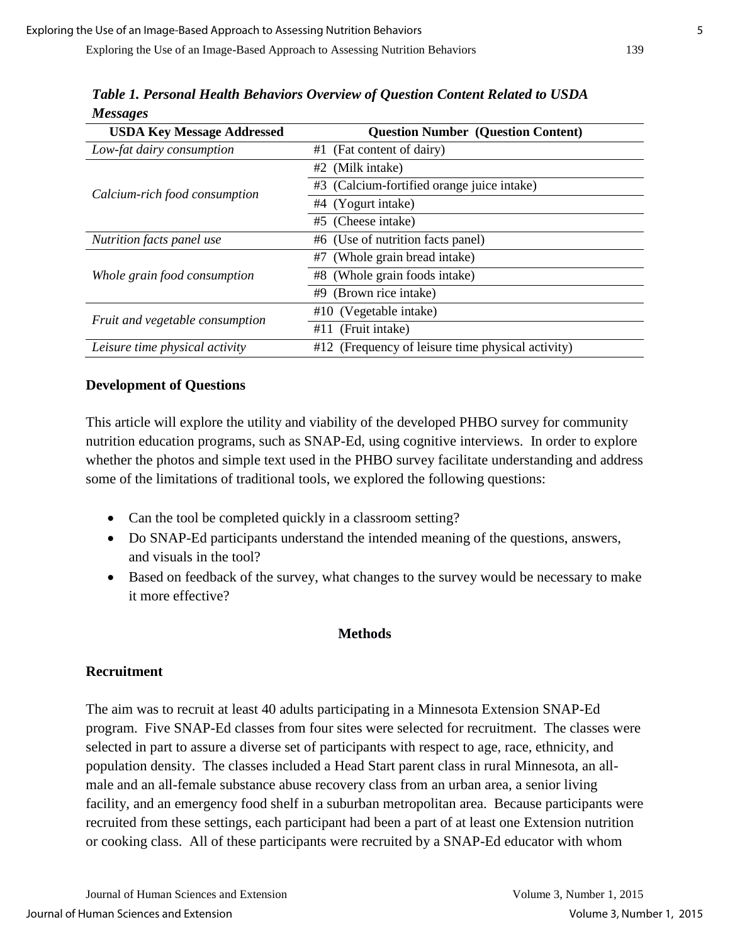| <b>USDA Key Message Addressed</b> | <b>Question Number (Question Content)</b>         |  |  |
|-----------------------------------|---------------------------------------------------|--|--|
| Low-fat dairy consumption         | (Fat content of dairy)<br>#1                      |  |  |
|                                   | #2 (Milk intake)                                  |  |  |
| Calcium-rich food consumption     | #3 (Calcium-fortified orange juice intake)        |  |  |
|                                   | #4 (Yogurt intake)                                |  |  |
|                                   | #5 (Cheese intake)                                |  |  |
| Nutrition facts panel use         | #6 (Use of nutrition facts panel)                 |  |  |
|                                   | (Whole grain bread intake)<br>#7                  |  |  |
| Whole grain food consumption      | #8 (Whole grain foods intake)                     |  |  |
|                                   | (Brown rice intake)<br>#9                         |  |  |
| Fruit and vegetable consumption   | $#10$ (Vegetable intake)                          |  |  |
|                                   | (Fruit intake)<br>#11                             |  |  |
| Leisure time physical activity    | #12 (Frequency of leisure time physical activity) |  |  |

*Table 1. Personal Health Behaviors Overview of Question Content Related to USDA Messages*

### **Development of Questions**

This article will explore the utility and viability of the developed PHBO survey for community nutrition education programs, such as SNAP-Ed, using cognitive interviews. In order to explore whether the photos and simple text used in the PHBO survey facilitate understanding and address some of the limitations of traditional tools, we explored the following questions:

- Can the tool be completed quickly in a classroom setting?
- Do SNAP-Ed participants understand the intended meaning of the questions, answers, and visuals in the tool?
- Based on feedback of the survey, what changes to the survey would be necessary to make it more effective?

#### **Methods**

### **Recruitment**

The aim was to recruit at least 40 adults participating in a Minnesota Extension SNAP-Ed program. Five SNAP-Ed classes from four sites were selected for recruitment. The classes were selected in part to assure a diverse set of participants with respect to age, race, ethnicity, and population density. The classes included a Head Start parent class in rural Minnesota, an allmale and an all-female substance abuse recovery class from an urban area, a senior living facility, and an emergency food shelf in a suburban metropolitan area. Because participants were recruited from these settings, each participant had been a part of at least one Extension nutrition or cooking class. All of these participants were recruited by a SNAP-Ed educator with whom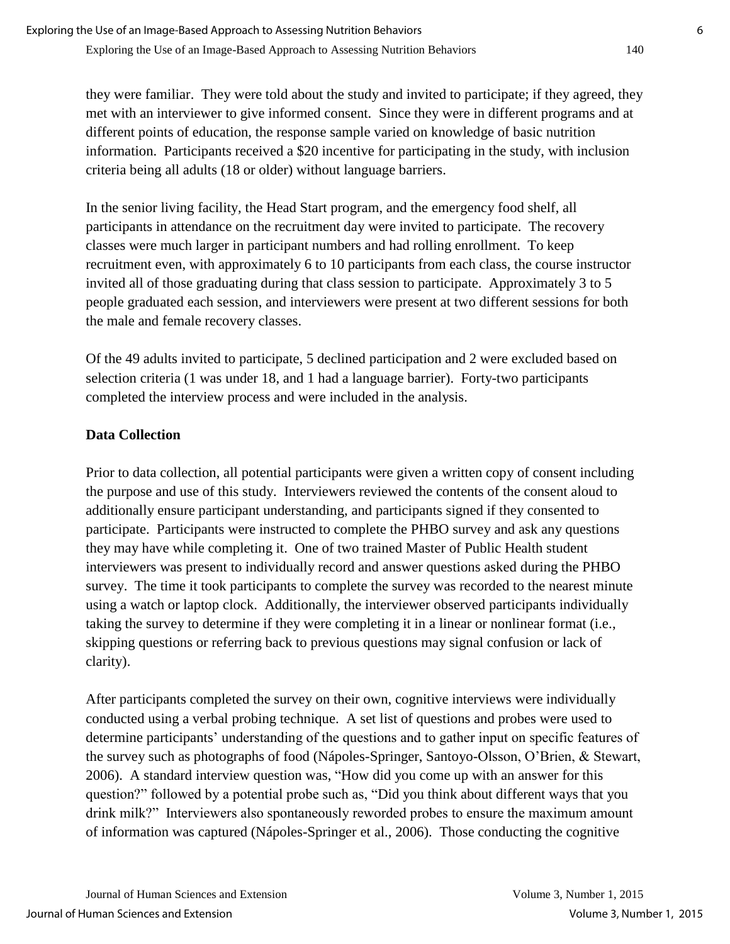they were familiar. They were told about the study and invited to participate; if they agreed, they met with an interviewer to give informed consent. Since they were in different programs and at different points of education, the response sample varied on knowledge of basic nutrition information. Participants received a \$20 incentive for participating in the study, with inclusion criteria being all adults (18 or older) without language barriers.

In the senior living facility, the Head Start program, and the emergency food shelf, all participants in attendance on the recruitment day were invited to participate. The recovery classes were much larger in participant numbers and had rolling enrollment. To keep recruitment even, with approximately 6 to 10 participants from each class, the course instructor invited all of those graduating during that class session to participate. Approximately 3 to 5 people graduated each session, and interviewers were present at two different sessions for both the male and female recovery classes.

Of the 49 adults invited to participate, 5 declined participation and 2 were excluded based on selection criteria (1 was under 18, and 1 had a language barrier). Forty-two participants completed the interview process and were included in the analysis.

## **Data Collection**

Prior to data collection, all potential participants were given a written copy of consent including the purpose and use of this study. Interviewers reviewed the contents of the consent aloud to additionally ensure participant understanding, and participants signed if they consented to participate. Participants were instructed to complete the PHBO survey and ask any questions they may have while completing it. One of two trained Master of Public Health student interviewers was present to individually record and answer questions asked during the PHBO survey. The time it took participants to complete the survey was recorded to the nearest minute using a watch or laptop clock. Additionally, the interviewer observed participants individually taking the survey to determine if they were completing it in a linear or nonlinear format (i.e., skipping questions or referring back to previous questions may signal confusion or lack of clarity).

After participants completed the survey on their own, cognitive interviews were individually conducted using a verbal probing technique. A set list of questions and probes were used to determine participants' understanding of the questions and to gather input on specific features of the survey such as photographs of food (Nápoles-Springer, Santoyo-Olsson, O'Brien, & Stewart, 2006). A standard interview question was, "How did you come up with an answer for this question?" followed by a potential probe such as, "Did you think about different ways that you drink milk?" Interviewers also spontaneously reworded probes to ensure the maximum amount of information was captured (Nápoles-Springer et al., 2006). Those conducting the cognitive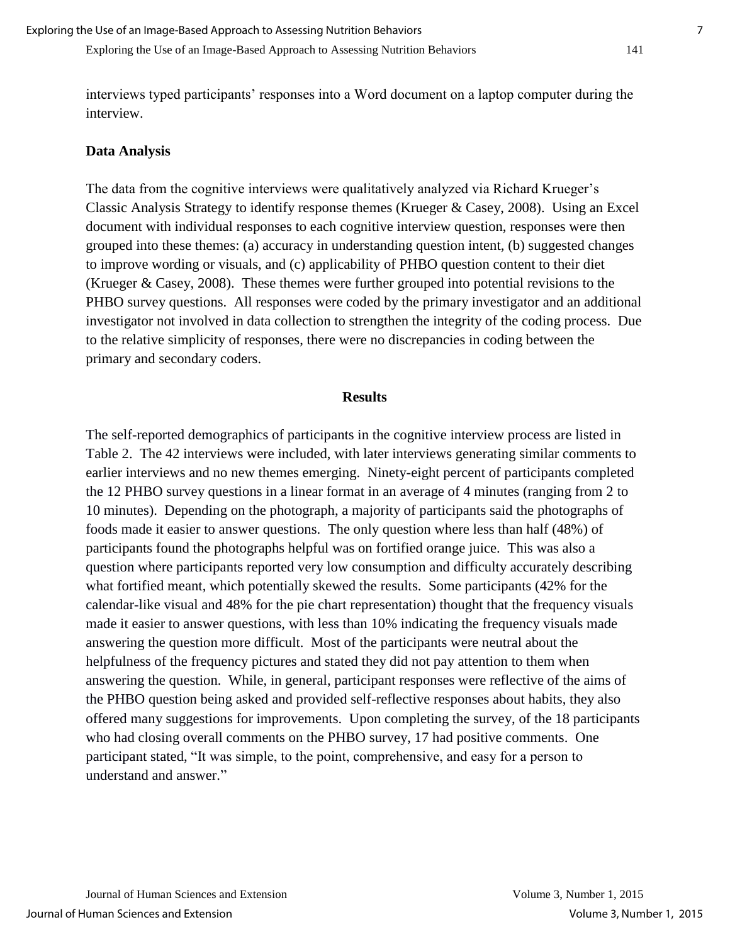interviews typed participants' responses into a Word document on a laptop computer during the interview.

#### **Data Analysis**

The data from the cognitive interviews were qualitatively analyzed via Richard Krueger's Classic Analysis Strategy to identify response themes (Krueger & Casey, 2008). Using an Excel document with individual responses to each cognitive interview question, responses were then grouped into these themes: (a) accuracy in understanding question intent, (b) suggested changes to improve wording or visuals, and (c) applicability of PHBO question content to their diet (Krueger & Casey, 2008). These themes were further grouped into potential revisions to the PHBO survey questions. All responses were coded by the primary investigator and an additional investigator not involved in data collection to strengthen the integrity of the coding process. Due to the relative simplicity of responses, there were no discrepancies in coding between the primary and secondary coders.

#### **Results**

The self-reported demographics of participants in the cognitive interview process are listed in Table 2. The 42 interviews were included, with later interviews generating similar comments to earlier interviews and no new themes emerging. Ninety-eight percent of participants completed the 12 PHBO survey questions in a linear format in an average of 4 minutes (ranging from 2 to 10 minutes). Depending on the photograph, a majority of participants said the photographs of foods made it easier to answer questions. The only question where less than half (48%) of participants found the photographs helpful was on fortified orange juice. This was also a question where participants reported very low consumption and difficulty accurately describing what fortified meant, which potentially skewed the results. Some participants (42% for the calendar-like visual and 48% for the pie chart representation) thought that the frequency visuals made it easier to answer questions, with less than 10% indicating the frequency visuals made answering the question more difficult. Most of the participants were neutral about the helpfulness of the frequency pictures and stated they did not pay attention to them when answering the question. While, in general, participant responses were reflective of the aims of the PHBO question being asked and provided self-reflective responses about habits, they also offered many suggestions for improvements. Upon completing the survey, of the 18 participants who had closing overall comments on the PHBO survey, 17 had positive comments. One participant stated, "It was simple, to the point, comprehensive, and easy for a person to understand and answer."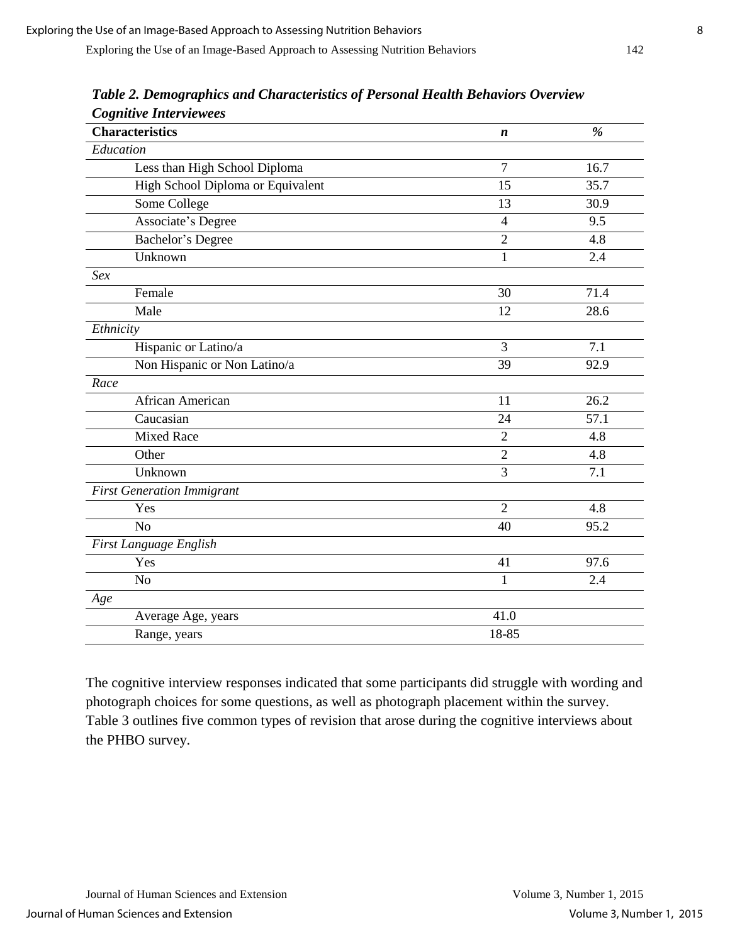| Cognitive Interviewees<br><b>Characteristics</b> | $\boldsymbol{n}$ | $\frac{9}{6}$ |
|--------------------------------------------------|------------------|---------------|
| Education                                        |                  |               |
|                                                  | $\overline{7}$   | 16.7          |
| Less than High School Diploma                    |                  |               |
| High School Diploma or Equivalent                | 15               | 35.7          |
| Some College                                     | 13               | 30.9          |
| Associate's Degree                               | 4                | 9.5           |
| Bachelor's Degree                                | $\overline{2}$   | 4.8           |
| Unknown                                          | $\mathbf{1}$     | 2.4           |
| <b>Sex</b>                                       |                  |               |
| Female                                           | 30               | 71.4          |
| Male                                             | 12               | 28.6          |
| Ethnicity                                        |                  |               |
| Hispanic or Latino/a                             | 3                | 7.1           |
| Non Hispanic or Non Latino/a                     | 39               | 92.9          |
| Race                                             |                  |               |
| African American                                 | 11               | 26.2          |
| Caucasian                                        | 24               | 57.1          |
| <b>Mixed Race</b>                                | $\overline{2}$   | 4.8           |
| Other                                            | $\overline{2}$   | 4.8           |
| Unknown                                          | 3                | 7.1           |
| <b>First Generation Immigrant</b>                |                  |               |
| Yes                                              | $\overline{2}$   | 4.8           |
| N <sub>o</sub>                                   | 40               | 95.2          |
| First Language English                           |                  |               |
| Yes                                              | 41               | 97.6          |
| N <sub>o</sub>                                   | $\mathbf{1}$     | 2.4           |
| Age                                              |                  |               |
| Average Age, years                               | 41.0             |               |
| Range, years                                     | 18-85            |               |

*Table 2. Demographics and Characteristics of Personal Health Behaviors Overview Cognitive Interviewees*

The cognitive interview responses indicated that some participants did struggle with wording and photograph choices for some questions, as well as photograph placement within the survey. Table 3 outlines five common types of revision that arose during the cognitive interviews about the PHBO survey.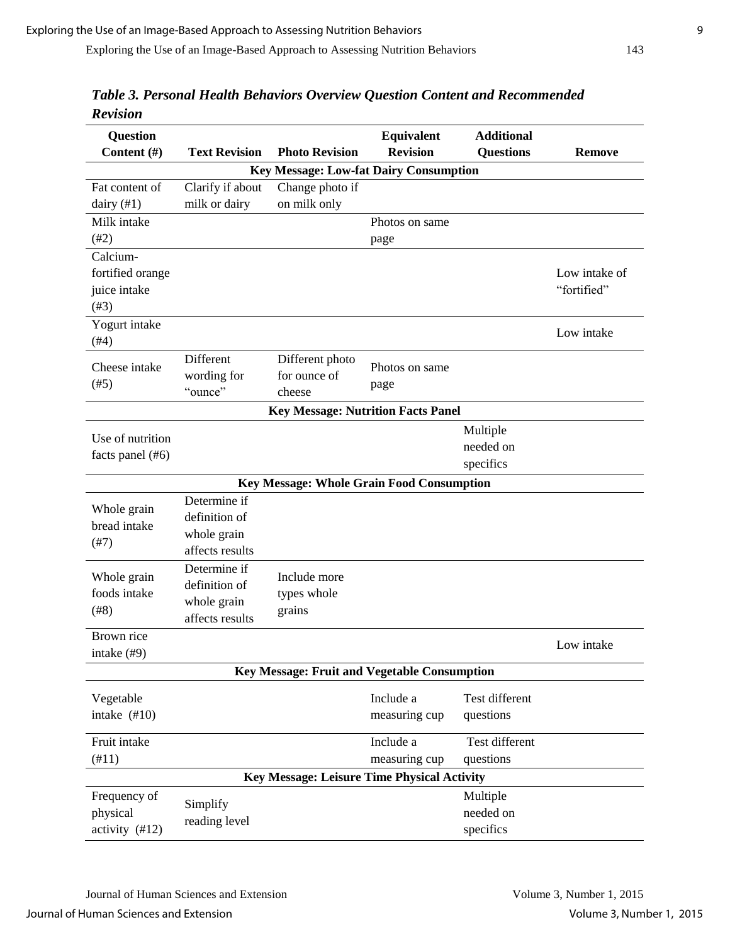| <b>Question</b>                      |                      |                                                    | Equivalent      | <b>Additional</b> |               |
|--------------------------------------|----------------------|----------------------------------------------------|-----------------|-------------------|---------------|
| Content (#)                          | <b>Text Revision</b> | <b>Photo Revision</b>                              | <b>Revision</b> | <b>Questions</b>  | <b>Remove</b> |
|                                      |                      | Key Message: Low-fat Dairy Consumption             |                 |                   |               |
| Fat content of                       | Clarify if about     | Change photo if                                    |                 |                   |               |
| dairy $(41)$                         | milk or dairy        | on milk only                                       |                 |                   |               |
| Milk intake                          |                      |                                                    | Photos on same  |                   |               |
| $(\#2)$                              |                      |                                                    | page            |                   |               |
| Calcium-                             |                      |                                                    |                 |                   |               |
| fortified orange                     |                      |                                                    |                 |                   | Low intake of |
| juice intake                         |                      |                                                    |                 |                   | "fortified"   |
| $(\#3)$                              |                      |                                                    |                 |                   |               |
| Yogurt intake                        |                      |                                                    |                 |                   |               |
| (#4)                                 |                      |                                                    |                 |                   | Low intake    |
| Cheese intake                        | Different            | Different photo                                    | Photos on same  |                   |               |
| (#5)                                 | wording for          | for ounce of                                       |                 |                   |               |
|                                      | "ounce"              | cheese                                             | page            |                   |               |
|                                      |                      | <b>Key Message: Nutrition Facts Panel</b>          |                 |                   |               |
|                                      |                      |                                                    |                 | Multiple          |               |
| Use of nutrition<br>facts panel (#6) |                      |                                                    |                 | needed on         |               |
|                                      |                      |                                                    |                 | specifics         |               |
|                                      |                      | Key Message: Whole Grain Food Consumption          |                 |                   |               |
|                                      | Determine if         |                                                    |                 |                   |               |
| Whole grain                          | definition of        |                                                    |                 |                   |               |
| bread intake<br>(#7)                 | whole grain          |                                                    |                 |                   |               |
|                                      | affects results      |                                                    |                 |                   |               |
| Whole grain<br>foods intake<br>(#8)  | Determine if         |                                                    |                 |                   |               |
|                                      | definition of        | Include more                                       |                 |                   |               |
|                                      | whole grain          | types whole                                        |                 |                   |               |
|                                      | affects results      | grains                                             |                 |                   |               |
| Brown rice                           |                      |                                                    |                 |                   |               |
| intake (#9)                          |                      |                                                    |                 |                   | Low intake    |
|                                      |                      | Key Message: Fruit and Vegetable Consumption       |                 |                   |               |
|                                      |                      |                                                    |                 | Test different    |               |
| Vegetable                            |                      |                                                    | Include a       |                   |               |
| intake $(\#10)$                      |                      |                                                    | measuring cup   | questions         |               |
| Fruit intake                         |                      |                                                    | Include a       | Test different    |               |
| (#11)                                |                      |                                                    | measuring cup   | questions         |               |
|                                      |                      | <b>Key Message: Leisure Time Physical Activity</b> |                 |                   |               |
| Frequency of                         |                      |                                                    |                 | Multiple          |               |
| physical                             | Simplify             |                                                    |                 | needed on         |               |
| activity (#12)                       | reading level        |                                                    |                 | specifics         |               |

*Table 3. Personal Health Behaviors Overview Question Content and Recommended Revision*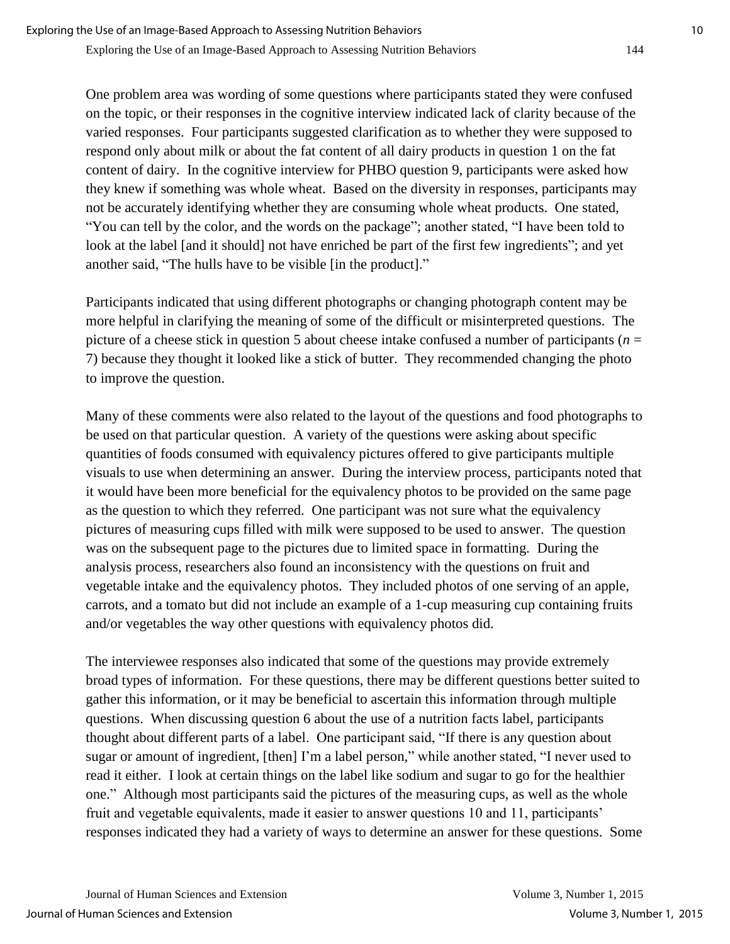One problem area was wording of some questions where participants stated they were confused on the topic, or their responses in the cognitive interview indicated lack of clarity because of the varied responses. Four participants suggested clarification as to whether they were supposed to respond only about milk or about the fat content of all dairy products in question 1 on the fat content of dairy. In the cognitive interview for PHBO question 9, participants were asked how they knew if something was whole wheat. Based on the diversity in responses, participants may not be accurately identifying whether they are consuming whole wheat products. One stated, "You can tell by the color, and the words on the package"; another stated, "I have been told to look at the label [and it should] not have enriched be part of the first few ingredients"; and yet another said, "The hulls have to be visible [in the product]."

Participants indicated that using different photographs or changing photograph content may be more helpful in clarifying the meaning of some of the difficult or misinterpreted questions. The picture of a cheese stick in question 5 about cheese intake confused a number of participants (*n* = 7) because they thought it looked like a stick of butter. They recommended changing the photo to improve the question.

Many of these comments were also related to the layout of the questions and food photographs to be used on that particular question. A variety of the questions were asking about specific quantities of foods consumed with equivalency pictures offered to give participants multiple visuals to use when determining an answer. During the interview process, participants noted that it would have been more beneficial for the equivalency photos to be provided on the same page as the question to which they referred. One participant was not sure what the equivalency pictures of measuring cups filled with milk were supposed to be used to answer. The question was on the subsequent page to the pictures due to limited space in formatting. During the analysis process, researchers also found an inconsistency with the questions on fruit and vegetable intake and the equivalency photos. They included photos of one serving of an apple, carrots, and a tomato but did not include an example of a 1-cup measuring cup containing fruits and/or vegetables the way other questions with equivalency photos did.

The interviewee responses also indicated that some of the questions may provide extremely broad types of information. For these questions, there may be different questions better suited to gather this information, or it may be beneficial to ascertain this information through multiple questions. When discussing question 6 about the use of a nutrition facts label, participants thought about different parts of a label. One participant said, "If there is any question about sugar or amount of ingredient, [then] I'm a label person," while another stated, "I never used to read it either. I look at certain things on the label like sodium and sugar to go for the healthier one." Although most participants said the pictures of the measuring cups, as well as the whole fruit and vegetable equivalents, made it easier to answer questions 10 and 11, participants' responses indicated they had a variety of ways to determine an answer for these questions. Some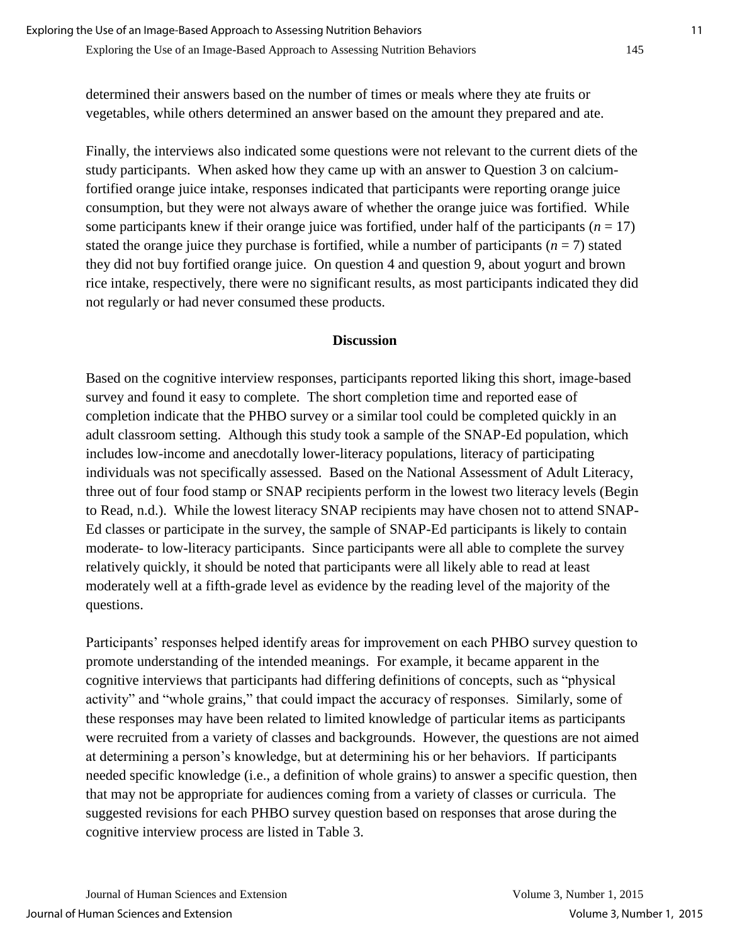determined their answers based on the number of times or meals where they ate fruits or vegetables, while others determined an answer based on the amount they prepared and ate.

Finally, the interviews also indicated some questions were not relevant to the current diets of the study participants. When asked how they came up with an answer to Question 3 on calciumfortified orange juice intake, responses indicated that participants were reporting orange juice consumption, but they were not always aware of whether the orange juice was fortified. While some participants knew if their orange juice was fortified, under half of the participants  $(n = 17)$ stated the orange juice they purchase is fortified, while a number of participants ( $n = 7$ ) stated they did not buy fortified orange juice. On question 4 and question 9, about yogurt and brown rice intake, respectively, there were no significant results, as most participants indicated they did not regularly or had never consumed these products.

#### **Discussion**

Based on the cognitive interview responses, participants reported liking this short, image-based survey and found it easy to complete. The short completion time and reported ease of completion indicate that the PHBO survey or a similar tool could be completed quickly in an adult classroom setting. Although this study took a sample of the SNAP-Ed population, which includes low-income and anecdotally lower-literacy populations, literacy of participating individuals was not specifically assessed. Based on the National Assessment of Adult Literacy, three out of four food stamp or SNAP recipients perform in the lowest two literacy levels (Begin to Read, n.d.). While the lowest literacy SNAP recipients may have chosen not to attend SNAP-Ed classes or participate in the survey, the sample of SNAP-Ed participants is likely to contain moderate- to low-literacy participants. Since participants were all able to complete the survey relatively quickly, it should be noted that participants were all likely able to read at least moderately well at a fifth-grade level as evidence by the reading level of the majority of the questions.

Participants' responses helped identify areas for improvement on each PHBO survey question to promote understanding of the intended meanings. For example, it became apparent in the cognitive interviews that participants had differing definitions of concepts, such as "physical activity" and "whole grains," that could impact the accuracy of responses. Similarly, some of these responses may have been related to limited knowledge of particular items as participants were recruited from a variety of classes and backgrounds. However, the questions are not aimed at determining a person's knowledge, but at determining his or her behaviors. If participants needed specific knowledge (i.e., a definition of whole grains) to answer a specific question, then that may not be appropriate for audiences coming from a variety of classes or curricula. The suggested revisions for each PHBO survey question based on responses that arose during the cognitive interview process are listed in Table 3.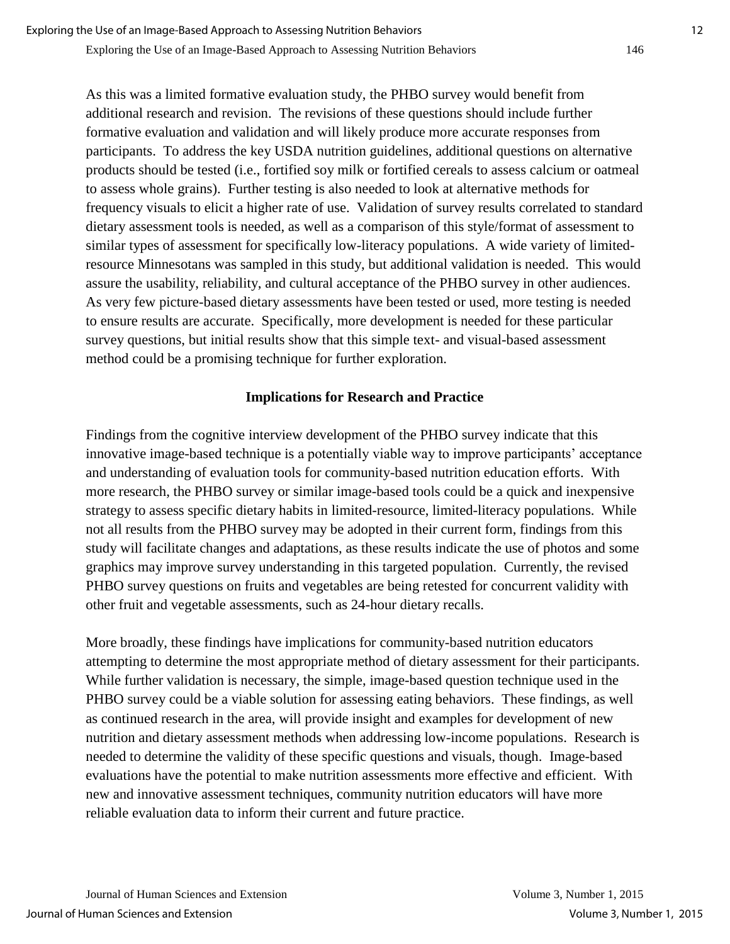As this was a limited formative evaluation study, the PHBO survey would benefit from additional research and revision. The revisions of these questions should include further formative evaluation and validation and will likely produce more accurate responses from participants. To address the key USDA nutrition guidelines, additional questions on alternative products should be tested (i.e., fortified soy milk or fortified cereals to assess calcium or oatmeal to assess whole grains). Further testing is also needed to look at alternative methods for frequency visuals to elicit a higher rate of use. Validation of survey results correlated to standard dietary assessment tools is needed, as well as a comparison of this style/format of assessment to similar types of assessment for specifically low-literacy populations. A wide variety of limitedresource Minnesotans was sampled in this study, but additional validation is needed. This would assure the usability, reliability, and cultural acceptance of the PHBO survey in other audiences. As very few picture-based dietary assessments have been tested or used, more testing is needed to ensure results are accurate. Specifically, more development is needed for these particular survey questions, but initial results show that this simple text- and visual-based assessment method could be a promising technique for further exploration.

#### **Implications for Research and Practice**

Findings from the cognitive interview development of the PHBO survey indicate that this innovative image-based technique is a potentially viable way to improve participants' acceptance and understanding of evaluation tools for community-based nutrition education efforts. With more research, the PHBO survey or similar image-based tools could be a quick and inexpensive strategy to assess specific dietary habits in limited-resource, limited-literacy populations. While not all results from the PHBO survey may be adopted in their current form, findings from this study will facilitate changes and adaptations, as these results indicate the use of photos and some graphics may improve survey understanding in this targeted population. Currently, the revised PHBO survey questions on fruits and vegetables are being retested for concurrent validity with other fruit and vegetable assessments, such as 24-hour dietary recalls.

More broadly, these findings have implications for community-based nutrition educators attempting to determine the most appropriate method of dietary assessment for their participants. While further validation is necessary, the simple, image-based question technique used in the PHBO survey could be a viable solution for assessing eating behaviors. These findings, as well as continued research in the area, will provide insight and examples for development of new nutrition and dietary assessment methods when addressing low-income populations. Research is needed to determine the validity of these specific questions and visuals, though. Image-based evaluations have the potential to make nutrition assessments more effective and efficient. With new and innovative assessment techniques, community nutrition educators will have more reliable evaluation data to inform their current and future practice.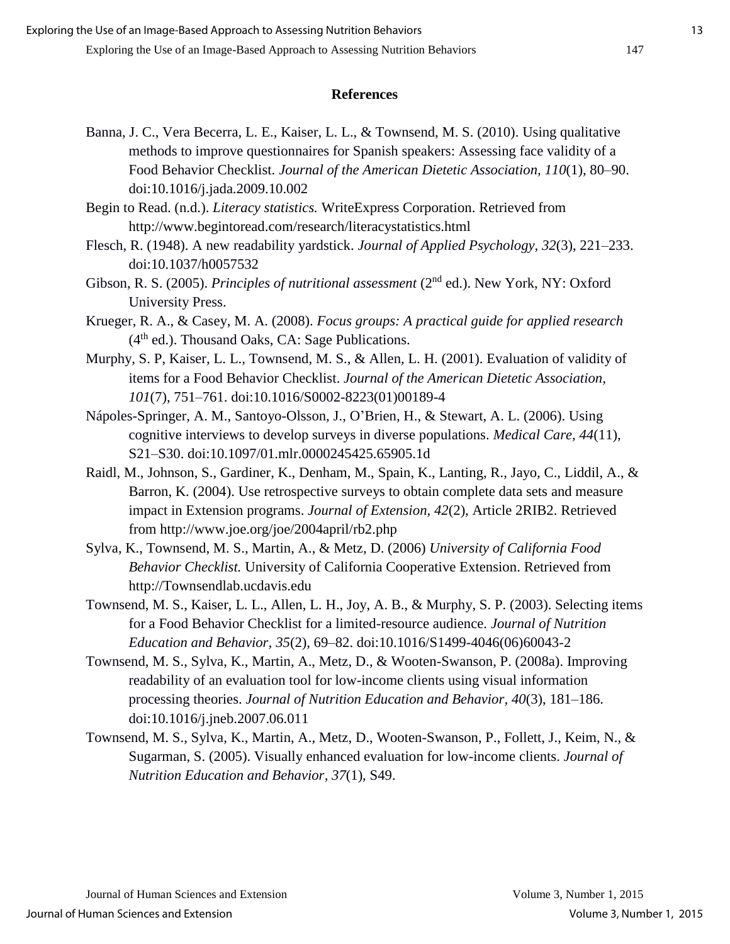## **References**

Banna, J. C., Vera Becerra, L. E., Kaiser, L. L., & Townsend, M. S. (2010). Using qualitative methods to improve questionnaires for Spanish speakers: Assessing face validity of a Food Behavior Checklist. *Journal of the American Dietetic Association, 110*(1), 80–90. doi:10.1016/j.jada.2009.10.002

Begin to Read. (n.d.). *Literacy statistics.* WriteExpress Corporation. Retrieved from http://www.begintoread.com/research/literacystatistics.html

- Flesch, R. (1948). A new readability yardstick. *Journal of Applied Psychology, 32*(3), 221–233. doi:10.1037/h0057532
- Gibson, R. S. (2005). *Principles of nutritional assessment* (2<sup>nd</sup> ed.). New York, NY: Oxford University Press.
- Krueger, R. A., & Casey, M. A. (2008). *Focus groups: A practical guide for applied research*  $(4<sup>th</sup>$  ed.). Thousand Oaks, CA: Sage Publications.
- Murphy, S. P, Kaiser, L. L., Townsend, M. S., & Allen, L. H. (2001). Evaluation of validity of items for a Food Behavior Checklist. *Journal of the American Dietetic Association, 101*(7), 751–761. doi:10.1016/S0002-8223(01)00189-4
- Nápoles-Springer, A. M., Santoyo-Olsson, J., O'Brien, H., & Stewart, A. L. (2006). Using cognitive interviews to develop surveys in diverse populations. *Medical Care, 44*(11), S21–S30. doi:10.1097/01.mlr.0000245425.65905.1d
- Raidl, M., Johnson, S., Gardiner, K., Denham, M., Spain, K., Lanting, R., Jayo, C., Liddil, A., & Barron, K. (2004). Use retrospective surveys to obtain complete data sets and measure impact in Extension programs. *Journal of Extension, 42*(2), Article 2RIB2. Retrieved from http://www.joe.org/joe/2004april/rb2.php
- Sylva, K., Townsend, M. S., Martin, A., & Metz, D. (2006) *University of California Food Behavior Checklist.* University of California Cooperative Extension. Retrieved from http://Townsendlab.ucdavis.edu
- Townsend, M. S., Kaiser, L. L., Allen, L. H., Joy, A. B., & Murphy, S. P. (2003). Selecting items for a Food Behavior Checklist for a limited-resource audience. *Journal of Nutrition Education and Behavior, 35*(2), 69–82. doi:10.1016/S1499-4046(06)60043-2
- Townsend, M. S., Sylva, K., Martin, A., Metz, D., & Wooten-Swanson, P. (2008a). Improving readability of an evaluation tool for low-income clients using visual information processing theories. *Journal of Nutrition Education and Behavior, 40*(3), 181–186. doi:10.1016/j.jneb.2007.06.011
- Townsend, M. S., Sylva, K., Martin, A., Metz, D., Wooten-Swanson, P., Follett, J., Keim, N., & Sugarman, S. (2005). Visually enhanced evaluation for low-income clients. *Journal of Nutrition Education and Behavior, 37*(1), S49.